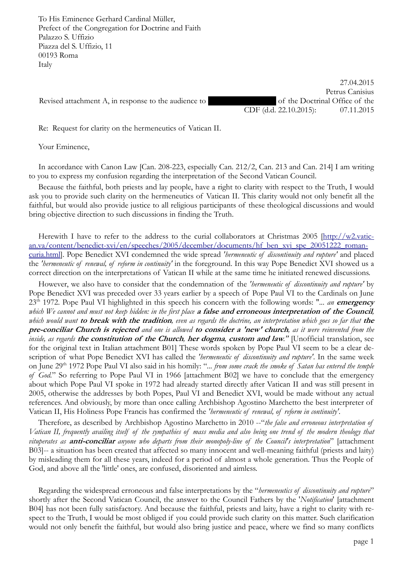To His Eminence Gerhard Cardinal Müller, Prefect of the Congregation for Doctrine and Faith Palazzo S. Uffizio Piazza del S. Uffizio, 11 00193 Roma Italy

Revised attachment A, in response to the audience to Father Geise of the Doctrinal Office of the

27.04.2015 Petrus Canisius CDF (d.d. 22.10.2015): 07.11.2015

Re: Request for clarity on the hermeneutics of Vatican II.

Your Eminence,

In accordance with Canon Law [Can. 208-223, especially Can. 212/2, Can. 213 and Can. 214] I am writing to you to express my confusion regarding the interpretation of the Second Vatican Council.

Because the faithful, both priests and lay people, have a right to clarity with respect to the Truth, I would ask you to provide such clarity on the hermeneutics of Vatican II. This clarity would not only benefit all the faithful, but would also provide justice to all religious participants of these theological discussions and would bring objective direction to such discussions in finding the Truth.

Herewith I have to refer to the address to the curial collaborators at Christmas 2005 [http://w2.vatican.va/content/benedict-xvi/en/speeches/2005/december/documents/hf\_ben\_xvi\_spe\_20051222\_romancuria.html]. Pope Benedict XVI condemned the wide spread *'hermeneutic of discontinuity and rupture'* and placed the *'hermeneutic of renewal, of reform in continuity'* in the foreground. In this way Pope Benedict XVI showed us a correct direction on the interpretations of Vatican II while at the same time he initiated renewed discussions.

However, we also have to consider that the condemnation of the *'hermeneutic of discontinuity and rupture'* by Pope Benedict XVI was preceded over 33 years earlier by a speech of Pope Paul VI to the Cardinals on June 23th 1972. Pope Paul VI highlighted in this speech his concern with the following words: "*... an* **emergency** *which We cannot and must not keep hidden: in the first place* **a false and erroneous interpretation of the Council***, which would want* **to break with the tradition***, even as regards the doctrine, an interpretation which goes so far that* **the pre-conciliar Church is rejected** *and one is allowed* **to consider a 'new' church***, as it were reinvented from the inside, as regards* **the constitution of the Church***,* **her dogma***,* **custom and law***."* [Unofficial translation, see for the original text in Italian attachment B01] These words spoken by Pope Paul VI seem to be a clear description of what Pope Benedict XVI has called the *'hermeneutic of discontinuity and rupture'*. In the same week on June 29th 1972 Pope Paul VI also said in his homily: "*... from some crack the smoke of Satan has entered the temple of God.*" So referring to Pope Paul VI in 1966 [attachment B02] we have to conclude that the emergency about which Pope Paul VI spoke in 1972 had already started directly after Vatican II and was still present in 2005, otherwise the addresses by both Popes, Paul VI and Benedict XVI, would be made without any actual references. And obviously, by more than once calling Archbishop Agostino Marchetto the best interpreter of Vatican II, His Holiness Pope Francis has confirmed the *'hermeneutic of renewal, of reform in continuity'.*

Therefore, as described by Archbishop Agostino Marchetto in 2010 --"*the false and erroneous interpretation of Vatican II, frequently availing itself of the sympathies of mass media and also being one trend of the modern theology that vituperates as* **anti-conciliar** *anyone who departs from their monopoly-line of the Council's interpretation*" [attachment B03]-- a situation has been created that affected so many innocent and well-meaning faithful (priests and laity) by misleading them for all these years, indeed for a period of almost a whole generation. Thus the People of God, and above all the 'little' ones, are confused, disoriented and aimless.

Regarding the widespread erroneous and false interpretations by the "*hermeneutics of discontinuity and rupture*" shortly after the Second Vatican Council, the answer to the Council Fathers by the '*Notification*' [attachment B04] has not been fully satisfactory. And because the faithful, priests and laity, have a right to clarity with respect to the Truth, I would be most obliged if you could provide such clarity on this matter. Such clarification would not only benefit the faithful, but would also bring justice and peace, where we find so many conflicts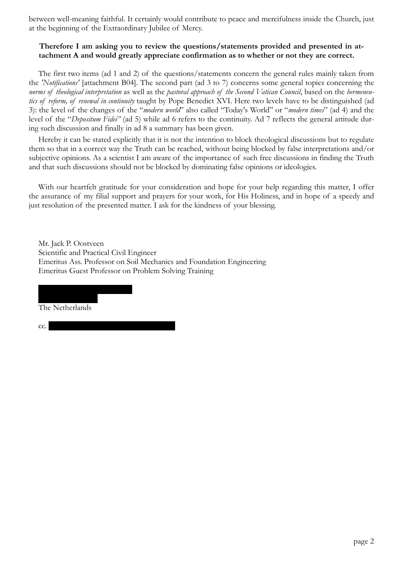between well-meaning faithful. It certainly would contribute to peace and mercifulness inside the Church, just at the beginning of the Extraordinary Jubilee of Mercy.

## **Therefore I am asking you to review the questions/statements provided and presented in attachment A and would greatly appreciate confirmation as to whether or not they are correct.**

The first two items (ad 1 and 2) of the questions/statements concern the general rules mainly taken from the *'Notifications'* [attachment B04]. The second part (ad 3 to 7) concerns some general topics concerning the *norms of theological interpretation* as well as the *pastoral approach of the Second Vatican Council*, based on the *hermeneutics of reform, of renewal in continuity* taught by Pope Benedict XVI. Here two levels have to be distinguished (ad 3): the level of the changes of the "*modern world*" also called "Today's World" or "*modern times*" (ad 4) and the level of the "*Depositum Fidei"* (ad 5) while ad 6 refers to the continuity. Ad 7 reflects the general attitude during such discussion and finally in ad 8 a summary has been given.

Hereby it can be stated explicitly that it is not the intention to block theological discussions but to regulate them so that in a correct way the Truth can be reached, without being blocked by false interpretations and/or subjective opinions. As a scientist I am aware of the importance of such free discussions in finding the Truth and that such discussions should not be blocked by dominating false opinions or ideologies.

With our heartfelt gratitude for your consideration and hope for your help regarding this matter, I offer the assurance of my filial support and prayers for your work, for His Holiness, and in hope of a speedy and just resolution of the presented matter. I ask for the kindness of your blessing.

Mr. Jack P. Oostveen Scientific and Practical Civil Engineer Emeritus Ass. Professor on Soil Mechanics and Foundation Engineering Emeritus Guest Professor on Problem Solving Training

NL 2624 CV Delft The Netherlands

Arthur van Schendelplein 135

cc. His Eminence Raymond Cardinal Burke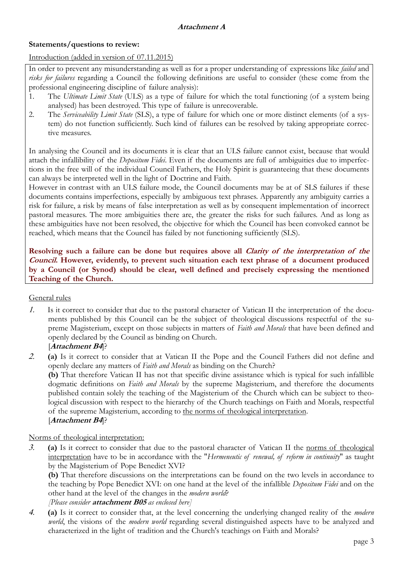## **Statements/questions to review:**

## Introduction (added in version of 07.11.2015)

In order to prevent any misunderstanding as well as for a proper understanding of expressions like *failed* and *risks for failures* regarding a Council the following definitions are useful to consider (these come from the professional engineering discipline of failure analysis):

- 1. The *Ultimate Limit State* (ULS) as a type of failure for which the total functioning (of a system being analysed) has been destroyed. This type of failure is unrecoverable.
- 2. The *Serviceability Limit State* (SLS), a type of failure for which one or more distinct elements (of a system) do not function sufficiently. Such kind of failures can be resolved by taking appropriate corrective measures.

In analysing the Council and its documents it is clear that an ULS failure cannot exist, because that would attach the infallibility of the *Depositum Fidei*. Even if the documents are full of ambiguities due to imperfections in the free will of the individual Council Fathers, the Holy Spirit is guaranteeing that these documents can always be interpreted well in the light of Doctrine and Faith.

However in contrast with an ULS failure mode, the Council documents may be at of SLS failures if these documents contains imperfections, especially by ambiguous text phrases. Apparently any ambiguity carries a risk for failure, a risk by means of false interpretation as well as by consequent implementation of incorrect pastoral measures. The more ambiguities there are, the greater the risks for such failures. And as long as these ambiguities have not been resolved, the objective for which the Council has been convoked cannot be reached, which means that the Council has failed by not functioning sufficiently (SLS).

**Resolving such a failure can be done but requires above all Clarity of the interpretation of the Council. However, evidently, to prevent such situation each text phrase of a document produced by a Council (or Synod) should be clear, well defined and precisely expressing the mentioned Teaching of the Church.** 

## General rules

 Is it correct to consider that due to the pastoral character of Vatican II the interpretation of the documents published by this Council can be the subject of theological discussions respectful of the supreme Magisterium, except on those subjects in matters of *Faith and Morals* that have been defined and openly declared by the Council as binding on Church.

## [**Attachment B4**]?

 **(a)** Is it correct to consider that at Vatican II the Pope and the Council Fathers did not define and openly declare any matters of *Faith and Morals* as binding on the Church?

**(b)** That therefore Vatican II has not that specific divine assistance which is typical for such infallible dogmatic definitions on *Faith and Morals* by the supreme Magisterium, and therefore the documents published contain solely the teaching of the Magisterium of the Church which can be subject to theological discussion with respect to the hierarchy of the Church teachings on Faith and Morals, respectful of the supreme Magisterium, according to the norms of theological interpretation. [**Attachment B4**]?

## Norms of theological interpretation:

 **(a)** Is it correct to consider that due to the pastoral character of Vatican II the norms of theological interpretation have to be in accordance with the "*Hermeneutic of renewal, of reform in continuity*" as taught by the Magisterium of Pope Benedict XVI?

**(b)** That therefore discussions on the interpretations can be found on the two levels in accordance to the teaching by Pope Benedict XVI: on one hand at the level of the infallible *Depositum Fidei* and on the other hand at the level of the changes in the *modern world*?

# *[Please consider* **attachment B05** *as enclosed here]*

 **(a)** Is it correct to consider that, at the level concerning the underlying changed reality of the *modern world*, the visions of the *modern world* regarding several distinguished aspects have to be analyzed and characterized in the light of tradition and the Church's teachings on Faith and Morals?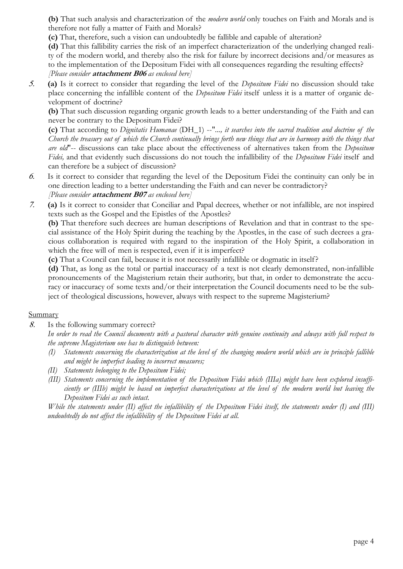**(b)** That such analysis and characterization of the *modern world* only touches on Faith and Morals and is therefore not fully a matter of Faith and Morals?

**(c)** That, therefore, such a vision can undoubtedly be fallible and capable of alteration?

**(d)** That this fallibility carries the risk of an imperfect characterization of the underlying changed reality of the modern world, and thereby also the risk for failure by incorrect decisions and/or measures as to the implementation of the Depositum Fidei with all consequences regarding the resulting effects? *[Please consider* **attachment B06** *as enclosed here]*

 **(a)** Is it correct to consider that regarding the level of the *Depositum Fidei* no discussion should take place concerning the infallible content of the *Depositum Fidei* itself unless it is a matter of organic development of doctrine?

**(b)** That such discussion regarding organic growth leads to a better understanding of the Faith and can never be contrary to the Depositum Fidei?

**(c)** That according to *Dignitatis Humanae* (DH\_1) --"*..., it searches into the sacred tradition and doctrine of the Church the treasury out of which the Church continually brings forth new things that are in harmony with the things that are old*"-- discussions can take place about the effectiveness of alternatives taken from the *Depositum Fidei,* and that evidently such discussions do not touch the infallibility of the *Depositum Fidei* itself and can therefore be a subject of discussion?

- Is it correct to consider that regarding the level of the Depositum Fidei the continuity can only be in one direction leading to a better understanding the Faith and can never be contradictory? *[Please consider* **attachment B07** *as enclosed here]*
- **(a)** Is it correct to consider that Conciliar and Papal decrees, whether or not infallible, are not inspired texts such as the Gospel and the Epistles of the Apostles?

**(b)** That therefore such decrees are human descriptions of Revelation and that in contrast to the special assistance of the Holy Spirit during the teaching by the Apostles, in the case of such decrees a gracious collaboration is required with regard to the inspiration of the Holy Spirit, a collaboration in which the free will of men is respected, even if it is imperfect?

**(c)** That a Council can fail, because it is not necessarily infallible or dogmatic in itself?

**(d)** That, as long as the total or partial inaccuracy of a text is not clearly demonstrated, non-infallible pronouncements of the Magisterium retain their authority, but that, in order to demonstrate the accuracy or inaccuracy of some texts and/or their interpretation the Council documents need to be the subject of theological discussions, however, always with respect to the supreme Magisterium?

## Summary

Is the following summary correct?

 *In order to read the Council documents with a pastoral character with genuine continuity and always with full respect to the supreme Magisterium one has to distinguish between:* 

- *(I) Statements concerning the characterization at the level of the changing modern world which are in principle fallible and might be imperfect leading to incorrect measures;*
- *(II) Statements belonging to the Depositum Fidei;*
- *(III) Statements concerning the implementation of the Depositum Fidei which (IIIa) might have been explored insufficiently or (IIIb) might be based on imperfect characterizations at the level of the modern world but leaving the Depositum Fidei as such intact.*

*While the statements under (II) affect the infallibility of the Depositum Fidei itself, the statements under (I) and (III) undoubtedly do not affect the infallibility of the Depositum Fidei at all*.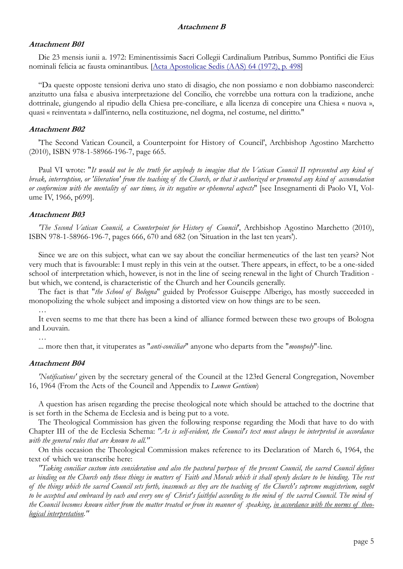### **Attachment B01**

Die 23 mensis iunii a. 1972: Eminentissimis Sacri Collegii Cardinalium Patribus, Summo Pontifici die Eius nominali felicia ac fausta ominantibus. [Acta Apostolicae Sedis (AAS) 64 (1972), p. 498]

"Da queste opposte tensioni deriva uno stato di disagio, che non possiamo e non dobbiamo nasconderci: anzitutto una falsa e abusiva interpretazione del Concilio, che vorrebbe una rottura con la tradizione, anche dottrinale, giungendo al ripudio della Chiesa pre-conciliare, e alla licenza di concepire una Chiesa « nuova », quasi « reinventata » dall'interno, nella costituzione, nel dogma, nel costume, nel diritto."

### **Attachment B02**

'The Second Vatican Council, a Counterpoint for History of Council', Archbishop Agostino Marchetto (2010), ISBN 978-1-58966-196-7, page 665.

Paul VI wrote: "*It would not be the truth for anybody to imagine that the Vatican Council II represented any kind of break, interruption, or 'liberation' from the teaching of the Church, or that it authorized or promoted any kind of accomodation or conformism with the mentality of our times, in its negative or ephemeral aspects*" [see Insegnamenti di Paolo VI, Volume IV, 1966, p699].

## **Attachment B03**

*'The Second Vatican Council, a Counterpoint for History of Council'*, Archbishop Agostino Marchetto (2010), ISBN 978-1-58966-196-7, pages 666, 670 and 682 (on 'Situation in the last ten years').

Since we are on this subject, what can we say about the conciliar hermeneutics of the last ten years? Not very much that is favourable: I must reply in this vein at the outset. There appears, in effect, to be a one-sided school of interpretation which, however, is not in the line of seeing renewal in the light of Church Tradition but which, we contend, is characteristic of the Church and her Councils generally.

The fact is that "*the School of Bologna*" guided by Professor Guiseppe Alberigo, has mostly succeeded in monopolizing the whole subject and imposing a distorted view on how things are to be seen.

It even seems to me that there has been a kind of alliance formed between these two groups of Bologna and Louvain.

…

... more then that, it vituperates as "*anti-conciliar*" anyone who departs from the "*monopoly*"-line.

### **Attachment B04**

*'Notifications'* given by the secretary general of the Council at the 123rd General Congregation, November 16, 1964 (From the Acts of the Council and Appendix to *Lumen Gentium*)

A question has arisen regarding the precise theological note which should be attached to the doctrine that is set forth in the Schema de Ecclesia and is being put to a vote.

The Theological Commission has given the following response regarding the Modi that have to do with Chapter III of the de Ecclesia Schema: *"As is self-evident, the Council's text must always be interpreted in accordance with the general rules that are known to all."*

On this occasion the Theological Commission makes reference to its Declaration of March 6, 1964, the text of which we transcribe here:

*"Taking conciliar custom into consideration and also the pastoral purpose of the present Council, the sacred Council defines as binding on the Church only those things in matters of Faith and Morals which it shall openly declare to be binding. The rest of the things which the sacred Council sets forth, inasmuch as they are the teaching of the Church's supreme magisterium, ought to be accepted and embraced by each and every one of Christ's faithful according to the mind of the sacred Council. The mind of the Council becomes known either from the matter treated or from its manner of speaking, in accordance with the norms of theological interpretation."*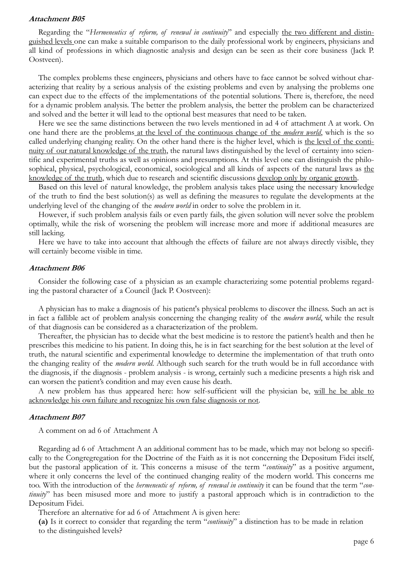#### **Attachment B05**

Regarding the "*Hermeneutics of reform, of renewal in continuity*" and especially the two different and distinguished levels one can make a suitable comparison to the daily professional work by engineers, physicians and all kind of professions in which diagnostic analysis and design can be seen as their core business (Jack P. Oostveen).

The complex problems these engineers, physicians and others have to face cannot be solved without characterizing that reality by a serious analysis of the existing problems and even by analysing the problems one can expect due to the effects of the implementations of the potential solutions. There is, therefore, the need for a dynamic problem analysis. The better the problem analysis, the better the problem can be characterized and solved and the better it will lead to the optional best measures that need to be taken.

Here we see the same distinctions between the two levels mentioned in ad 4 of attachment A at work. On one hand there are the problems at the level of the continuous change of the *modern world*, which is the so called underlying changing reality. On the other hand there is the higher level, which is the level of the continuity of our natural knowledge of the truth, the natural laws distinguished by the level of certainty into scientific and experimental truths as well as opinions and presumptions. At this level one can distinguish the philosophical, physical, psychological, economical, sociological and all kinds of aspects of the natural laws as the knowledge of the truth, which due to research and scientific discussions develop only by organic growth.

Based on this level of natural knowledge, the problem analysis takes place using the necessary knowledge of the truth to find the best solution(s) as well as defining the measures to regulate the developments at the underlying level of the changing of the *modern world* in order to solve the problem in it.

However, if such problem analysis fails or even partly fails, the given solution will never solve the problem optimally, while the risk of worsening the problem will increase more and more if additional measures are still lacking.

Here we have to take into account that although the effects of failure are not always directly visible, they will certainly become visible in time.

#### **Attachment B06**

Consider the following case of a physician as an example characterizing some potential problems regarding the pastoral character of a Council (Jack P. Oostveen):

A physician has to make a diagnosis of his patient's physical problems to discover the illness. Such an act is in fact a fallible act of problem analysis concerning the changing reality of the *modern world*, while the result of that diagnosis can be considered as a characterization of the problem.

Thereafter, the physician has to decide what the best medicine is to restore the patient's health and then he prescribes this medicine to his patient. In doing this, he is in fact searching for the best solution at the level of truth, the natural scientific and experimental knowledge to determine the implementation of that truth onto the changing reality of the *modern world*. Although such search for the truth would be in full accordance with the diagnosis, if the diagnosis - problem analysis - is wrong, certainly such a medicine presents a high risk and can worsen the patient's condition and may even cause his death.

A new problem has thus appeared here: how self-sufficient will the physician be, will he be able to acknowledge his own failure and recognize his own false diagnosis or not.

#### **Attachment B07**

A comment on ad 6 of Attachment A

Regarding ad 6 of Attachment A an additional comment has to be made, which may not belong so specifically to the Congregregation for the Doctrine of the Faith as it is not concerning the Depositum Fidei itself, but the pastoral application of it. This concerns a misuse of the term "*continuity*" as a positive argument, where it only concerns the level of the continued changing reality of the modern world. This concerns me too. With the introduction of the *hermeneutic of reform, of renewal in continuity* it can be found that the term "*continuity*" has been misused more and more to justify a pastoral approach which is in contradiction to the Depositum Fidei.

Therefore an alternative for ad 6 of Attachment A is given here:

**(a)** Is it correct to consider that regarding the term "*continuity*" a distinction has to be made in relation to the distinguished levels?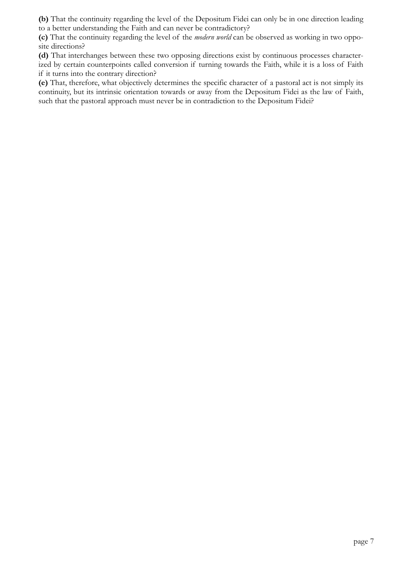**(b)** That the continuity regarding the level of the Depositum Fidei can only be in one direction leading to a better understanding the Faith and can never be contradictory?

**(c)** That the continuity regarding the level of the *modern world* can be observed as working in two opposite directions?

**(d)** That interchanges between these two opposing directions exist by continuous processes characterized by certain counterpoints called conversion if turning towards the Faith, while it is a loss of Faith if it turns into the contrary direction?

**(e)** That, therefore, what objectively determines the specific character of a pastoral act is not simply its continuity, but its intrinsic orientation towards or away from the Depositum Fidei as the law of Faith, such that the pastoral approach must never be in contradiction to the Depositum Fidei?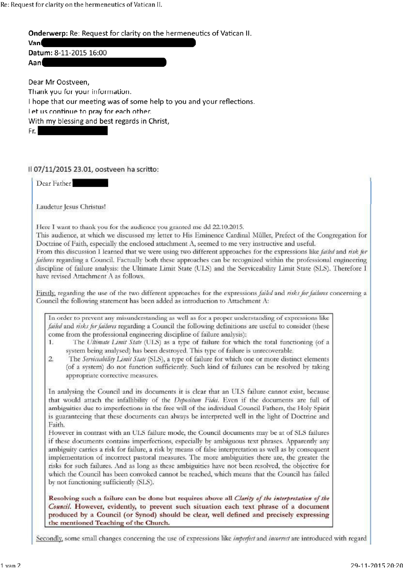Re: Request for clarity on the hermeneutics of Vatican II.

Onderwerp: Re: Request for clarity on the hermeneutics of Vatican II.

Van Datum: 8-11-2015 16:00 Aan

Dear Mr Oostveen, Thank you for your information. I hope that our meeting was of some help to you and your reflections. Let us continue to pray for each other. With my blessing and best regards in Christ, Fr.

Il 07/11/2015 23.01, oostveen ha scritto:

Dear Father

Laudetur Jesus Christus!

Here I want to thank you for the audience you granted me dd 22.10.2015.

This audience, at which we discussed my letter to His Eminence Cardinal Müller, Prefect of the Congregation for Doctrine of Faith, especially the enclosed attachment A, seemed to me very instructive and useful.

From this discussion I learned that we were using two different approaches for the expressions like *failed* and risk for failures regarding a Council. Factually both these approaches can be recognized within the professional engineering discipline of failure analysis: the Ultimate Limit State (ULS) and the Serviceability Limit State (SLS). Therefore I have revised Attachment A as follows.

Firstly, regarding the use of the two different approaches for the expressions *failed* and *risks for failures* concerning a Council the following statement has been added as introduction to Attachment A:

In order to prevent any misunderstanding as well as for a proper understanding of expressions like failed and risks for failures regarding a Council the following definitions are useful to consider (these come from the professional engineering discipline of failure analysis):

The Ultimate Limit State (ULS) as a type of failure for which the total functioning (of a  $\mathbf{1}$ . system being analysed) has been destroyed. This type of failure is unrecoverable.

 $\overline{2}$ The Serviceability Limit State (SLS), a type of failure for which one or more distinct elements (of a system) do not function sufficiently. Such kind of failures can be resolved by taking appropriate corrective measures.

In analysing the Council and its documents it is clear that an ULS failure cannot exist, because that would attach the infallibility of the Depositum Fidei. Even if the documents are full of ambiguities due to imperfections in the free will of the individual Council Fathers, the Holy Spirit is guaranteeing that these documents can always be interpreted well in the light of Doctrine and Faith.

However in contrast with an ULS failure mode, the Council documents may be at of SLS failures if these documents contains imperfections, especially by ambiguous text phrases. Apparently any ambiguity carries a risk for failure, a risk by means of false interpretation as well as by consequent implementation of incorrect pastoral measures. The more ambiguities there are, the greater the risks for such failures. And as long as these ambiguities have not been resolved, the objective for which the Council has been convoked cannot be reached, which means that the Council has failed by not functioning sufficiently (SLS).

Resolving such a failure can be done but requires above all Clarity of the interpretation of the Council. However, evidently, to prevent such situation each text phrase of a document produced by a Council (or Synod) should be clear, well defined and precisely expressing the mentioned Teaching of the Church.

Secondly, some small changes concerning the use of expressions like *imperfect* and *incorrect* are introduced with regard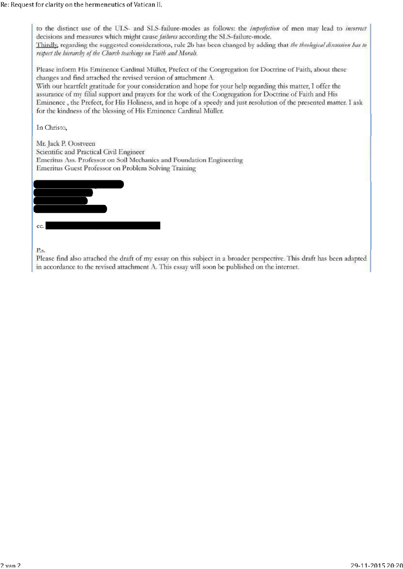to the distinct use of the ULS- and SLS-failure-modes as follows: the *imperfection* of men may lead to *incorrect* decisions and measures which might cause *failures* according the SLS-failure-mode. Thirdly, regarding the suggested considerations, rule 2b has been changed by adding that the theological disension has to respect the hierarchy of the Church teachings on Faith and Morals.

Please inform His Eminence Cardinal Müller, Prefect of the Congregation for Doctrine of Faith, about these changes and find attached the revised version of attachment A.

With our heartfelt gratitude for your consideration and hope for your help regarding this matter, I offer the assurance of my filial support and prayers for the work of the Congregation for Doctrine of Faith and His Eminence, the Prefect, for His Holiness, and in hope of a speedy and just resolution of the presented matter. I ask for the kindness of the blessing of His Eminence Cardinal Müller.

In Christo,

Mr. Jack P. Oostveen Scientific and Practical Civil Engineer Emeritus Ass. Professor on Soil Mechanics and Foundation Engineering Emeritus Guest Professor on Problem Solving Training



 $Ps.$ 

Please find also attached the draft of my essay on this subject in a broader perspective. This draft has been adapted in accordance to the revised attachment A. This essay will soon be published on the internet.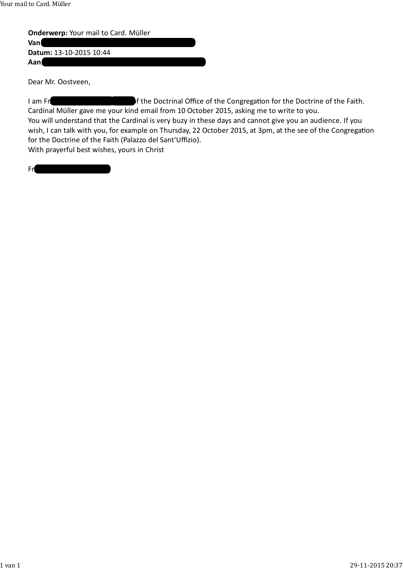**Onderwerp:** Your mail to Card. Müller

**Van:** Hermann Geissler († 1988) **Datum:** 13‐10‐2015 10:44

Aan<mark>:</mark> oostveense ecclesiadei.nl

Dear Mr. Oostveen,

I am Fr. **Hermann Geissler, Head of the Doctrinal Office of the Congregation for the Doctrine of the Faith.** Cardinal Müller gave me your kind email from 10 October 2015, asking me to write to you. You will understand that the Cardinal is very buzy in these days and cannot give you an audience. If you wish, I can talk with you, for example on Thursday, 22 October 2015, at 3pm, at the see of the Congregation for the Doctrine of the Faith (Palazzo del Sant'Uffizio).

With prayerful best wishes, yours in Christ

Fr. Hermann Geissler, fso